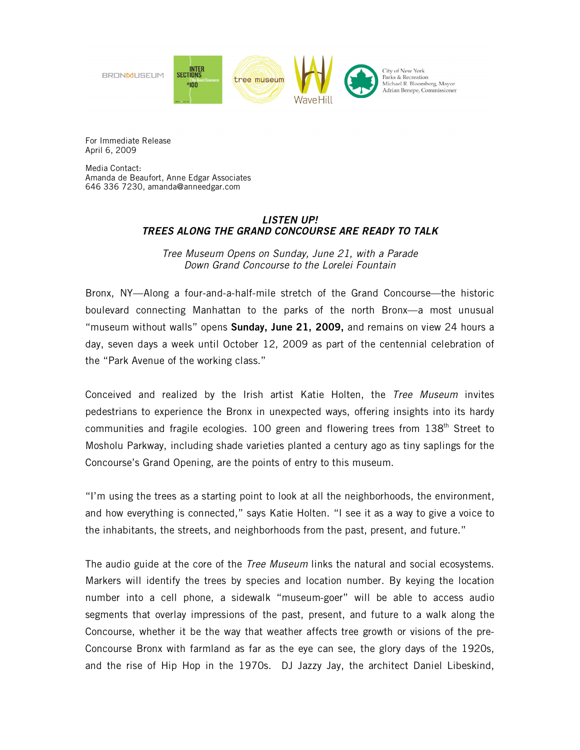

For Immediate Release April 6, 2009

Media Contact: Amanda de Beaufort, Anne Edgar Associates 646 336 7230, amanda@anneedgar.com

# *LISTEN UP! TREES ALONG THE GRAND CONCOURSE ARE READY TO TALK*

*Tree Museum Opens on Sunday, June 21, with a Parade Down Grand Concourse to the Lorelei Fountain* 

Bronx, NY—Along a four-and-a-half-mile stretch of the Grand Concourse—the historic boulevard connecting Manhattan to the parks of the north Bronx—a most unusual "museum without walls" opens **Sunday, June 21, 2009,** and remains on view 24 hours a day, seven days a week until October 12, 2009 as part of the centennial celebration of the "Park Avenue of the working class."

Conceived and realized by the Irish artist Katie Holten, the *Tree Museum* invites pedestrians to experience the Bronx in unexpected ways, offering insights into its hardy communities and fragile ecologies. 100 green and flowering trees from  $138<sup>th</sup>$  Street to Mosholu Parkway, including shade varieties planted a century ago as tiny saplings for the Concourse's Grand Opening, are the points of entry to this museum.

"I'm using the trees as a starting point to look at all the neighborhoods, the environment, and how everything is connected," says Katie Holten. "I see it as a way to give a voice to the inhabitants, the streets, and neighborhoods from the past, present, and future."

The audio guide at the core of the *Tree Museum* links the natural and social ecosystems. Markers will identify the trees by species and location number. By keying the location number into a cell phone, a sidewalk "museum-goer" will be able to access audio segments that overlay impressions of the past, present, and future to a walk along the Concourse, whether it be the way that weather affects tree growth or visions of the pre-Concourse Bronx with farmland as far as the eye can see, the glory days of the 1920s, and the rise of Hip Hop in the 1970s. DJ Jazzy Jay, the architect Daniel Libeskind,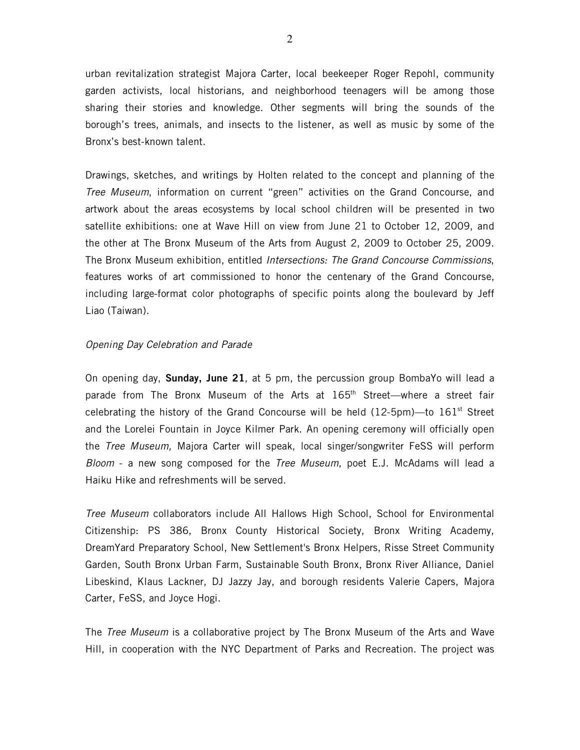urban revitalization strategist Majora Carter, local beekeeper Roger Repohl, community garden activists, local historians, and neighborhood teenagers will be among those sharing their stories and knowledge. Other segments will bring the sounds of the borough's trees, animals, and insects to the listener, as well as music by some of the Bronx's best-known talent.

Drawings, sketches, and writings by Holten related to the concept and planning of the *Tree Museum*, information on current "green" activities on the Grand Concourse, and artwork about the areas ecosystems by local school children will be presented in two satellite exhibitions: one at Wave Hill on view from June 21 to October 12, 2009, and the other at The Bronx Museum of the Arts from August 2, 2009 to October 25, 2009. The Bronx Museum exhibition, entitled *Intersections: The Grand Concourse Commissions*, features works of art commissioned to honor the centenary of the Grand Concourse, including large-format color photographs of specific points along the boulevard by Jeff Liao (Taiwan).

## *Opening Day Celebration and Parade*

On opening day, **Sunday, June 21**, at 5 pm, the percussion group BombaYo will lead a parade from The Bronx Museum of the Arts at 165<sup>th</sup> Street—where a street fair celebrating the history of the Grand Concourse will be held  $(12\text{-}5\text{pm})$ —to  $161^{\text{st}}$  Street and the Lorelei Fountain in Joyce Kilmer Park. An opening ceremony will officially open the *Tree Museum,* Majora Carter will speak, local singer/songwriter FeSS will perform *Bloom* - a new song composed for the *Tree Museum*, poet E.J. McAdams will lead a Haiku Hike and refreshments will be served.

*Tree Museum* collaborators include All Hallows High School, School for Environmental Citizenship: PS 386, Bronx County Historical Society, Bronx Writing Academy, DreamYard Preparatory School, New Settlement's Bronx Helpers, Risse Street Community Garden, South Bronx Urban Farm, Sustainable South Bronx, Bronx River Alliance, Daniel Libeskind, Klaus Lackner, DJ Jazzy Jay, and borough residents Valerie Capers, Majora Carter, FeSS, and Joyce Hogi.

The *Tree Museum* is a collaborative project by The Bronx Museum of the Arts and Wave Hill, in cooperation with the NYC Department of Parks and Recreation. The project was